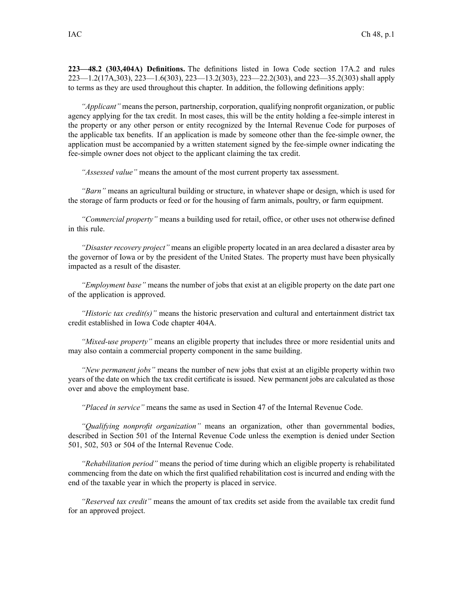**223—48.2 (303,404A) Definitions.** The definitions listed in Iowa Code section 17A.2 and rules 223—1.2(17A,303), 223—1.6(303), 223—13.2(303), 223—22.2(303), and 223—35.2(303) shall apply to terms as they are used throughout this chapter. In addition, the following definitions apply:

*"Applicant"* means the person, partnership, corporation, qualifying nonprofit organization, or public agency applying for the tax credit. In most cases, this will be the entity holding <sup>a</sup> fee-simple interest in the property or any other person or entity recognized by the Internal Revenue Code for purposes of the applicable tax benefits. If an application is made by someone other than the fee-simple owner, the application must be accompanied by <sup>a</sup> written statement signed by the fee-simple owner indicating the fee-simple owner does not object to the applicant claiming the tax credit.

*"Assessed value"* means the amount of the most current property tax assessment.

*"Barn"* means an agricultural building or structure, in whatever shape or design, which is used for the storage of farm products or feed or for the housing of farm animals, poultry, or farm equipment.

*"Commercial property"* means <sup>a</sup> building used for retail, office, or other uses not otherwise defined in this rule.

*"Disaster recovery project"* means an eligible property located in an area declared <sup>a</sup> disaster area by the governor of Iowa or by the president of the United States. The property must have been physically impacted as <sup>a</sup> result of the disaster.

*"Employment base"* means the number of jobs that exist at an eligible property on the date par<sup>t</sup> one of the application is approved.

*"Historic tax credit(s)"* means the historic preservation and cultural and entertainment district tax credit established in Iowa Code chapter 404A.

*"Mixed-use property"* means an eligible property that includes three or more residential units and may also contain <sup>a</sup> commercial property componen<sup>t</sup> in the same building.

*"New permanen<sup>t</sup> jobs"* means the number of new jobs that exist at an eligible property within two years of the date on which the tax credit certificate is issued. New permanen<sup>t</sup> jobs are calculated as those over and above the employment base.

*"Placed in service"* means the same as used in Section 47 of the Internal Revenue Code.

*"Qualifying nonprofit organization"* means an organization, other than governmental bodies, described in Section 501 of the Internal Revenue Code unless the exemption is denied under Section 501, 502, 503 or 504 of the Internal Revenue Code.

*"Rehabilitation period"* means the period of time during which an eligible property is rehabilitated commencing from the date on which the first qualified rehabilitation cost is incurred and ending with the end of the taxable year in which the property is placed in service.

*"Reserved tax credit"* means the amount of tax credits set aside from the available tax credit fund for an approved project.